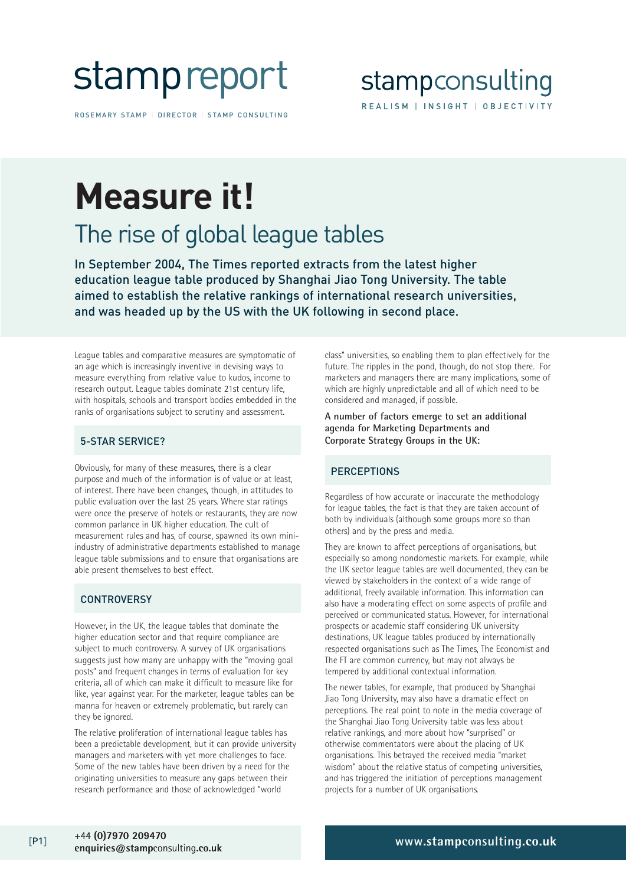# stampreport

ROSEMARY STAMP | DIRECTOR | STAMP CONSULTING

### stampconsulting REALISM | INSIGHT | OBJECTIVITY

## **Measure it!**

### The rise of global league tables

In September 2004, The Times reported extracts from the latest higher education league table produced by Shanghai Jiao Tong University. The table aimed to establish the relative rankings of international research universities, and was headed up by the US with the UK following in second place.

League tables and comparative measures are symptomatic of an age which is increasingly inventive in devising ways to measure everything from relative value to kudos, income to research output. League tables dominate 21st century life, with hospitals, schools and transport bodies embedded in the ranks of organisations subject to scrutiny and assessment.

### 5-STAR SERVICE?

Obviously, for many of these measures, there is a clear purpose and much of the information is of value or at least, of interest. There have been changes, though, in attitudes to public evaluation over the last 25 years. Where star ratings were once the preserve of hotels or restaurants, they are now common parlance in UK higher education. The cult of measurement rules and has, of course, spawned its own miniindustry of administrative departments established to manage league table submissions and to ensure that organisations are able present themselves to best effect.

### **CONTROVERSY**

However, in the UK, the league tables that dominate the higher education sector and that require compliance are subject to much controversy. A survey of UK organisations suggests just how many are unhappy with the "moving goal posts" and frequent changes in terms of evaluation for key criteria, all of which can make it difficult to measure like for like, year against year. For the marketer, league tables can be manna for heaven or extremely problematic, but rarely can they be ignored.

The relative proliferation of international league tables has been a predictable development, but it can provide university managers and marketers with yet more challenges to face. Some of the new tables have been driven by a need for the originating universities to measure any gaps between their research performance and those of acknowledged "world

class" universities, so enabling them to plan effectively for the future. The ripples in the pond, though, do not stop there. For marketers and managers there are many implications, some of which are highly unpredictable and all of which need to be considered and managed, if possible.

#### **A number of factors emerge to set an additional agenda for Marketing Departments and Corporate Strategy Groups in the UK:**

### **PERCEPTIONS**

Regardless of how accurate or inaccurate the methodology for league tables, the fact is that they are taken account of both by individuals (although some groups more so than others) and by the press and media.

They are known to affect perceptions of organisations, but especially so among nondomestic markets. For example, while the UK sector league tables are well documented, they can be viewed by stakeholders in the context of a wide range of additional, freely available information. This information can also have a moderating effect on some aspects of profile and perceived or communicated status. However, for international prospects or academic staff considering UK university destinations, UK league tables produced by internationally respected organisations such as The Times, The Economist and The FT are common currency, but may not always be tempered by additional contextual information.

The newer tables, for example, that produced by Shanghai Jiao Tong University, may also have a dramatic effect on perceptions. The real point to note in the media coverage of the Shanghai Jiao Tong University table was less about relative rankings, and more about how "surprised" or otherwise commentators were about the placing of UK organisations. This betrayed the received media "market wisdom" about the relative status of competing universities, and has triggered the initiation of perceptions management projects for a number of UK organisations.